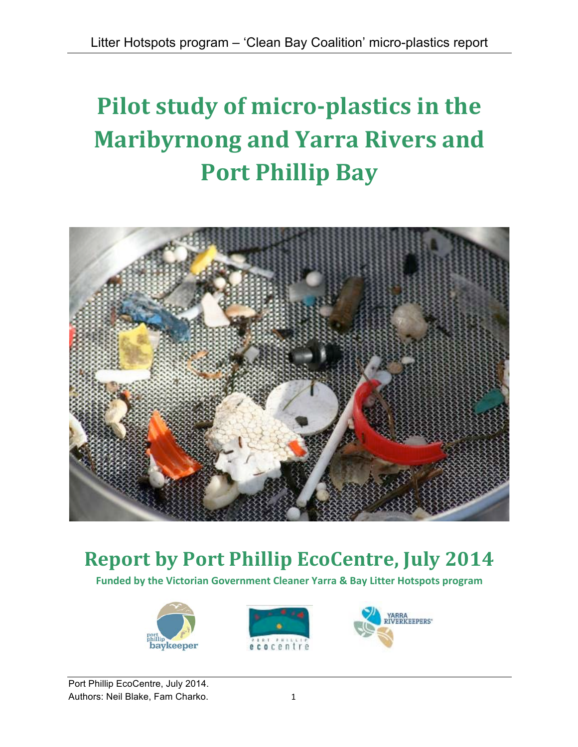# **Pilot study of micro-plastics in the Maribyrnong and Yarra Rivers and Port Phillip Bay**



## **Report by Port Phillip EcoCentre, July 2014**

Funded by the Victorian Government Cleaner Yarra & Bay Litter Hotspots program







Port Phillip EcoCentre, July 2014. Authors: Neil Blake, Fam Charko. 1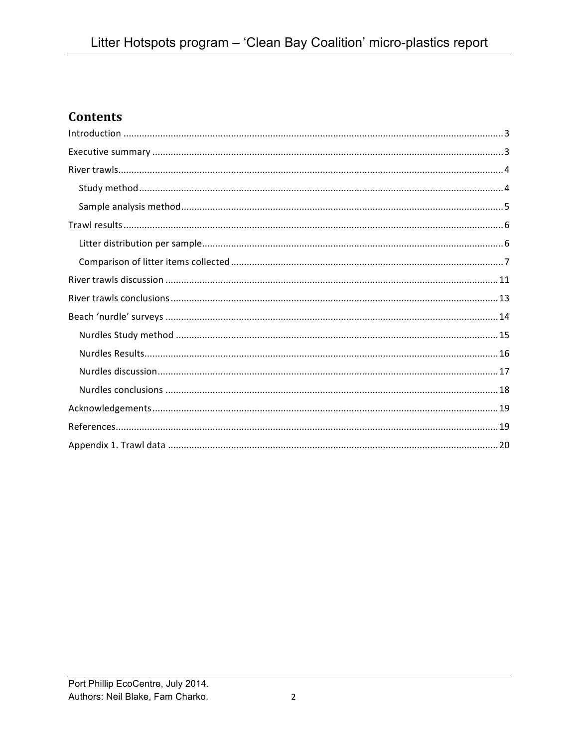## **Contents**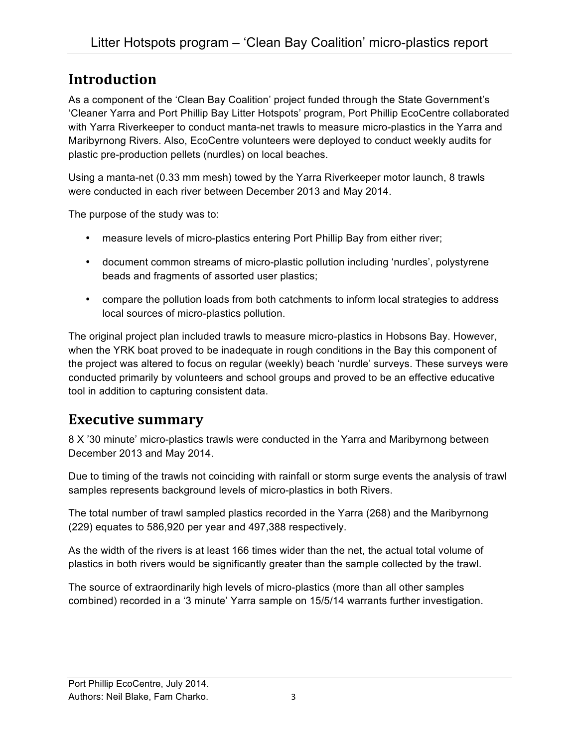## **Introduction**

As a component of the 'Clean Bay Coalition' project funded through the State Government's 'Cleaner Yarra and Port Phillip Bay Litter Hotspots' program, Port Phillip EcoCentre collaborated with Yarra Riverkeeper to conduct manta-net trawls to measure micro-plastics in the Yarra and Maribyrnong Rivers. Also, EcoCentre volunteers were deployed to conduct weekly audits for plastic pre-production pellets (nurdles) on local beaches.

Using a manta-net (0.33 mm mesh) towed by the Yarra Riverkeeper motor launch, 8 trawls were conducted in each river between December 2013 and May 2014.

The purpose of the study was to:

- measure levels of micro-plastics entering Port Phillip Bay from either river;
- document common streams of micro-plastic pollution including 'nurdles', polystyrene beads and fragments of assorted user plastics;
- compare the pollution loads from both catchments to inform local strategies to address local sources of micro-plastics pollution.

The original project plan included trawls to measure micro-plastics in Hobsons Bay. However, when the YRK boat proved to be inadequate in rough conditions in the Bay this component of the project was altered to focus on regular (weekly) beach 'nurdle' surveys. These surveys were conducted primarily by volunteers and school groups and proved to be an effective educative tool in addition to capturing consistent data.

## **Executive summary**

8 X '30 minute' micro-plastics trawls were conducted in the Yarra and Maribyrnong between December 2013 and May 2014.

Due to timing of the trawls not coinciding with rainfall or storm surge events the analysis of trawl samples represents background levels of micro-plastics in both Rivers.

The total number of trawl sampled plastics recorded in the Yarra (268) and the Maribyrnong (229) equates to 586,920 per year and 497,388 respectively.

As the width of the rivers is at least 166 times wider than the net, the actual total volume of plastics in both rivers would be significantly greater than the sample collected by the trawl.

The source of extraordinarily high levels of micro-plastics (more than all other samples combined) recorded in a '3 minute' Yarra sample on 15/5/14 warrants further investigation.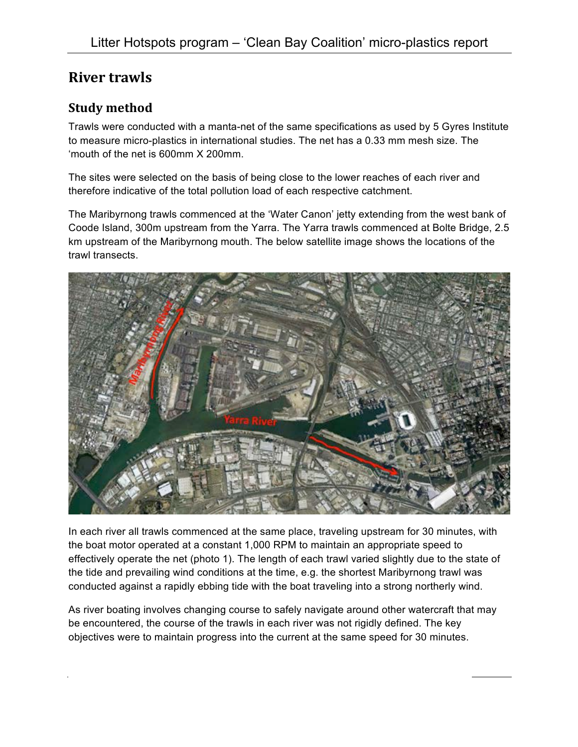## **River trawls**

#### **Study method**

Trawls were conducted with a manta-net of the same specifications as used by 5 Gyres Institute to measure micro-plastics in international studies. The net has a 0.33 mm mesh size. The 'mouth of the net is 600mm X 200mm.

The sites were selected on the basis of being close to the lower reaches of each river and therefore indicative of the total pollution load of each respective catchment.

The Maribyrnong trawls commenced at the 'Water Canon' jetty extending from the west bank of Coode Island, 300m upstream from the Yarra. The Yarra trawls commenced at Bolte Bridge, 2.5 km upstream of the Maribyrnong mouth. The below satellite image shows the locations of the trawl transects.



In each river all trawls commenced at the same place, traveling upstream for 30 minutes, with the boat motor operated at a constant 1,000 RPM to maintain an appropriate speed to effectively operate the net (photo 1). The length of each trawl varied slightly due to the state of the tide and prevailing wind conditions at the time, e.g. the shortest Maribyrnong trawl was conducted against a rapidly ebbing tide with the boat traveling into a strong northerly wind.

As river boating involves changing course to safely navigate around other watercraft that may be encountered, the course of the trawls in each river was not rigidly defined. The key objectives were to maintain progress into the current at the same speed for 30 minutes.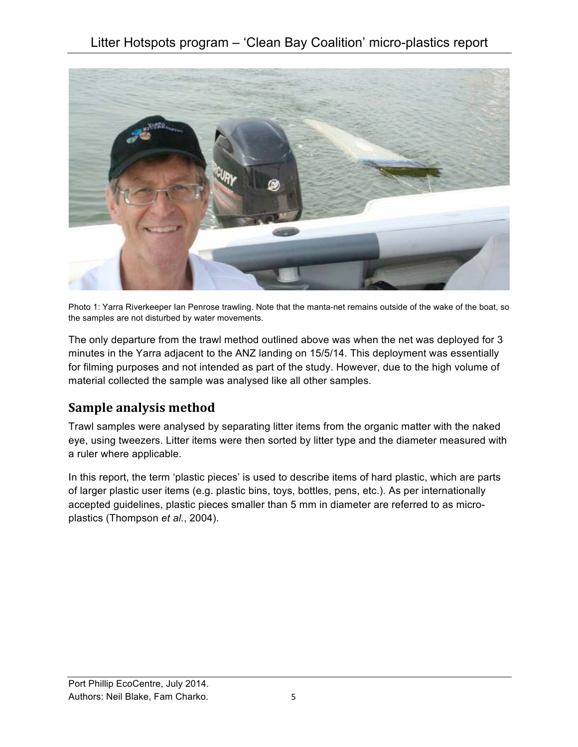

Photo 1: Yarra Riverkeeper Ian Penrose trawling. Note that the manta-net remains outside of the wake of the boat, so the samples are not disturbed by water movements.

The only departure from the trawl method outlined above was when the net was deployed for 3 minutes in the Yarra adjacent to the ANZ landing on 15/5/14. This deployment was essentially for filming purposes and not intended as part of the study. However, due to the high volume of material collected the sample was analysed like all other samples.

### **Sample analysis method**

Trawl samples were analysed by separating litter items from the organic matter with the naked eye, using tweezers. Litter items were then sorted by litter type and the diameter measured with a ruler where applicable.

In this report, the term 'plastic pieces' is used to describe items of hard plastic, which are parts of larger plastic user items (e.g. plastic bins, toys, bottles, pens, etc.). As per internationally accepted guidelines, plastic pieces smaller than 5 mm in diameter are referred to as microplastics (Thompson *et al.*, 2004).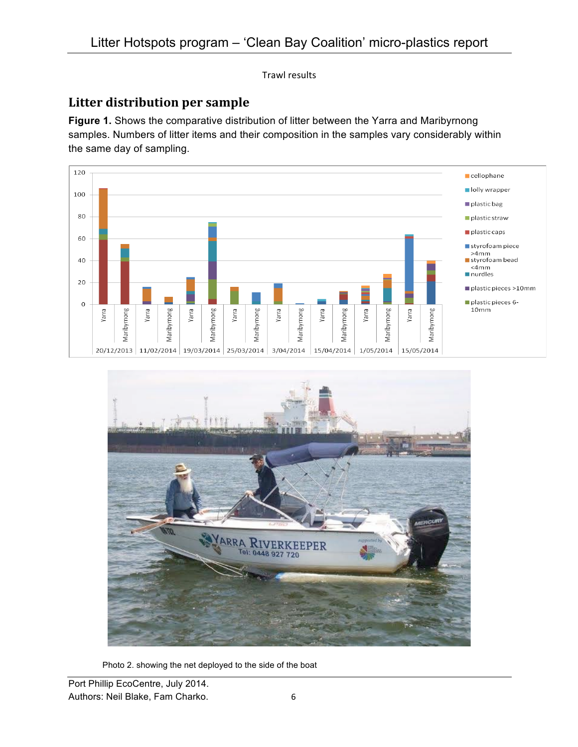**Trawl results** 

## Litter distribution per sample

**Figure 1.** Shows the comparative distribution of litter between the Yarra and Maribyrnong samples. Numbers of litter items and their composition in the samples vary considerably within the same day of sampling.





Photo 2. showing the net deployed to the side of the boat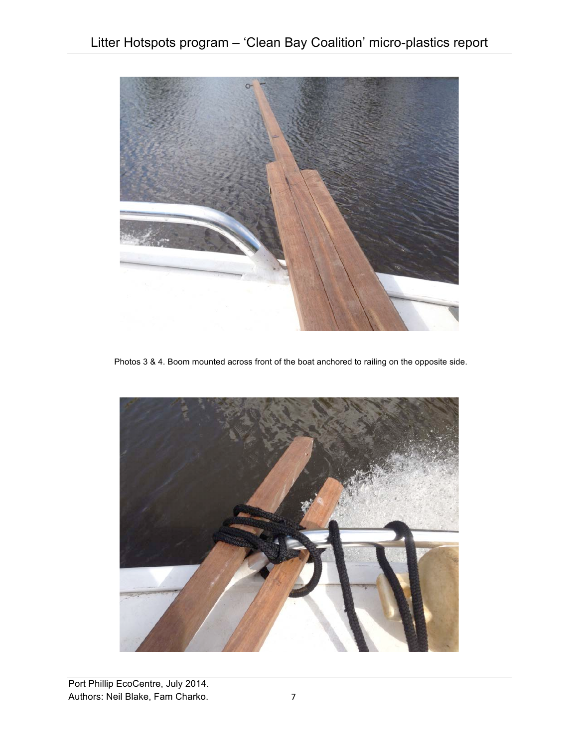

Photos 3 & 4. Boom mounted across front of the boat anchored to railing on the opposite side.

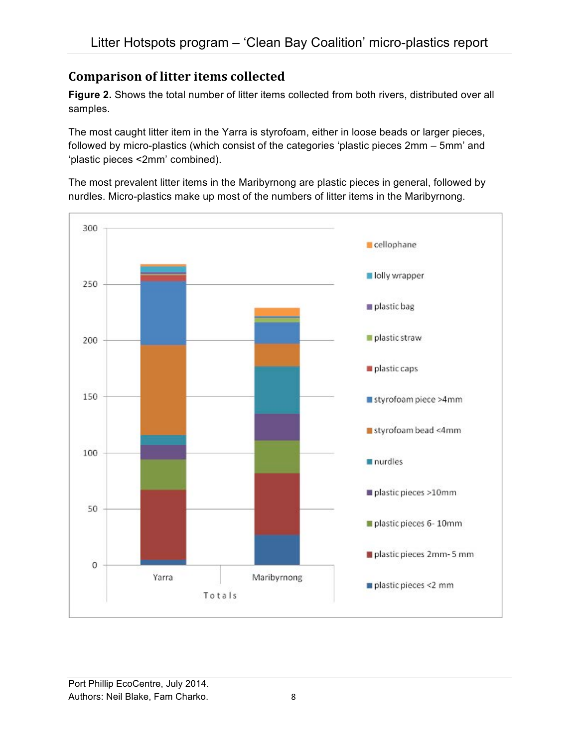## **Comparison of litter items collected**

**Figure 2.** Shows the total number of litter items collected from both rivers, distributed over all samples.

The most caught litter item in the Yarra is styrofoam, either in loose beads or larger pieces, followed by micro-plastics (which consist of the categories 'plastic pieces 2mm – 5mm' and 'plastic pieces <2mm' combined).

The most prevalent litter items in the Maribyrnong are plastic pieces in general, followed by nurdles. Micro-plastics make up most of the numbers of litter items in the Maribyrnong.

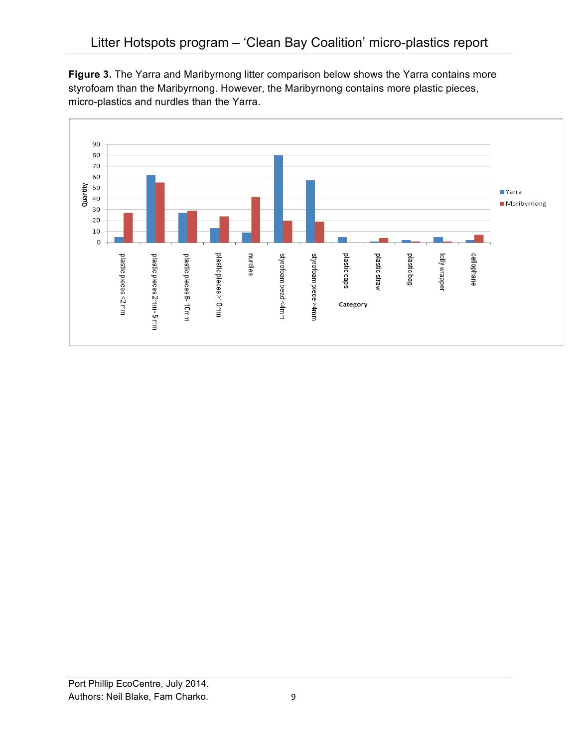**Figure 3.** The Yarra and Maribyrnong litter comparison below shows the Yarra contains more styrofoam than the Maribyrnong. However, the Maribyrnong contains more plastic pieces, micro-plastics and nurdles than the Yarra.

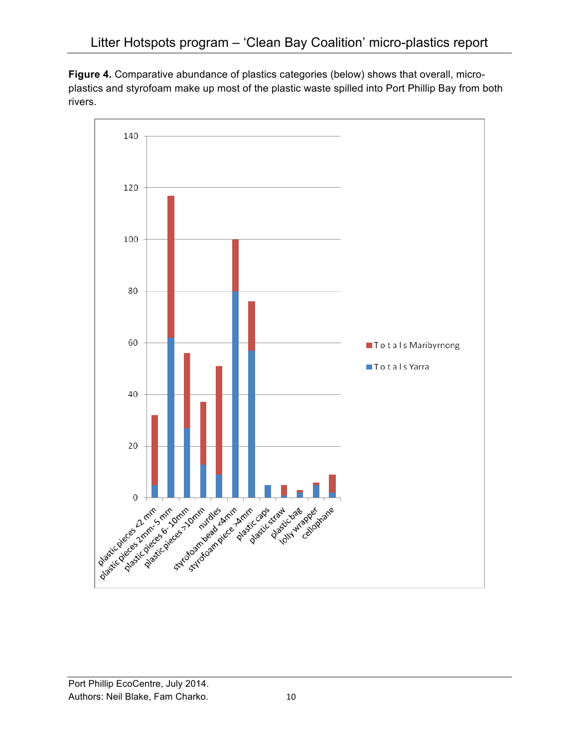**Figure 4.** Comparative abundance of plastics categories (below) shows that overall, microplastics and styrofoam make up most of the plastic waste spilled into Port Phillip Bay from both rivers.

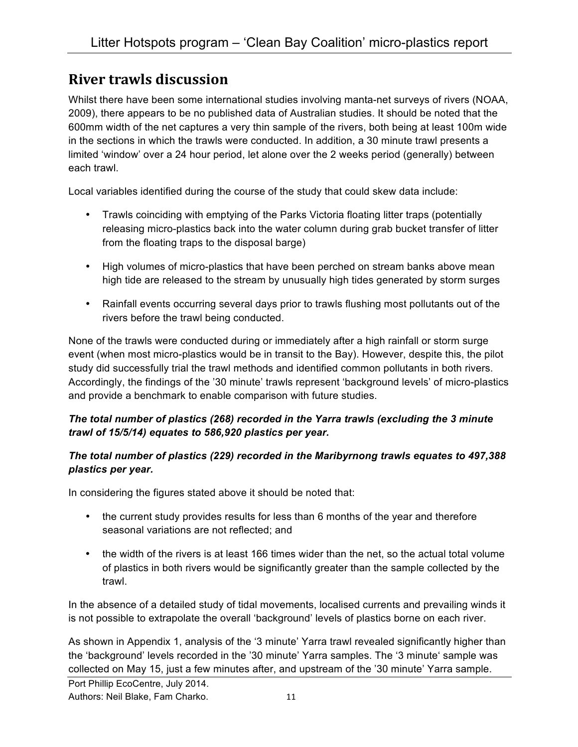## **River trawls discussion**

Whilst there have been some international studies involving manta-net surveys of rivers (NOAA, 2009), there appears to be no published data of Australian studies. It should be noted that the 600mm width of the net captures a very thin sample of the rivers, both being at least 100m wide in the sections in which the trawls were conducted. In addition, a 30 minute trawl presents a limited 'window' over a 24 hour period, let alone over the 2 weeks period (generally) between each trawl.

Local variables identified during the course of the study that could skew data include:

- Trawls coinciding with emptying of the Parks Victoria floating litter traps (potentially releasing micro-plastics back into the water column during grab bucket transfer of litter from the floating traps to the disposal barge)
- High volumes of micro-plastics that have been perched on stream banks above mean high tide are released to the stream by unusually high tides generated by storm surges
- Rainfall events occurring several days prior to trawls flushing most pollutants out of the rivers before the trawl being conducted.

None of the trawls were conducted during or immediately after a high rainfall or storm surge event (when most micro-plastics would be in transit to the Bay). However, despite this, the pilot study did successfully trial the trawl methods and identified common pollutants in both rivers. Accordingly, the findings of the '30 minute' trawls represent 'background levels' of micro-plastics and provide a benchmark to enable comparison with future studies.

#### *The total number of plastics (268) recorded in the Yarra trawls (excluding the 3 minute trawl of 15/5/14) equates to 586,920 plastics per year.*

#### *The total number of plastics (229) recorded in the Maribyrnong trawls equates to 497,388 plastics per year.*

In considering the figures stated above it should be noted that:

- the current study provides results for less than 6 months of the year and therefore seasonal variations are not reflected; and
- the width of the rivers is at least 166 times wider than the net, so the actual total volume of plastics in both rivers would be significantly greater than the sample collected by the trawl.

In the absence of a detailed study of tidal movements, localised currents and prevailing winds it is not possible to extrapolate the overall 'background' levels of plastics borne on each river.

As shown in Appendix 1, analysis of the '3 minute' Yarra trawl revealed significantly higher than the 'background' levels recorded in the '30 minute' Yarra samples. The '3 minute' sample was collected on May 15, just a few minutes after, and upstream of the '30 minute' Yarra sample.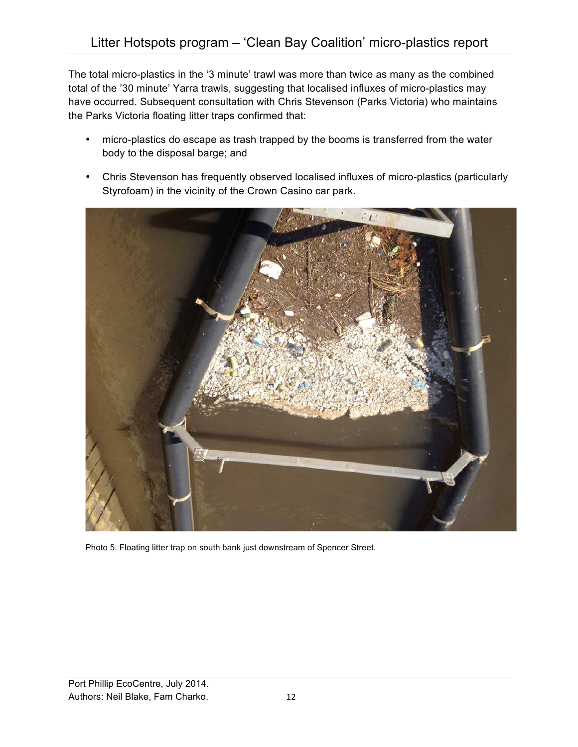The total micro-plastics in the '3 minute' trawl was more than twice as many as the combined total of the '30 minute' Yarra trawls, suggesting that localised influxes of micro-plastics may have occurred. Subsequent consultation with Chris Stevenson (Parks Victoria) who maintains the Parks Victoria floating litter traps confirmed that:

- micro-plastics do escape as trash trapped by the booms is transferred from the water body to the disposal barge; and
- Chris Stevenson has frequently observed localised influxes of micro-plastics (particularly Styrofoam) in the vicinity of the Crown Casino car park.



Photo 5. Floating litter trap on south bank just downstream of Spencer Street.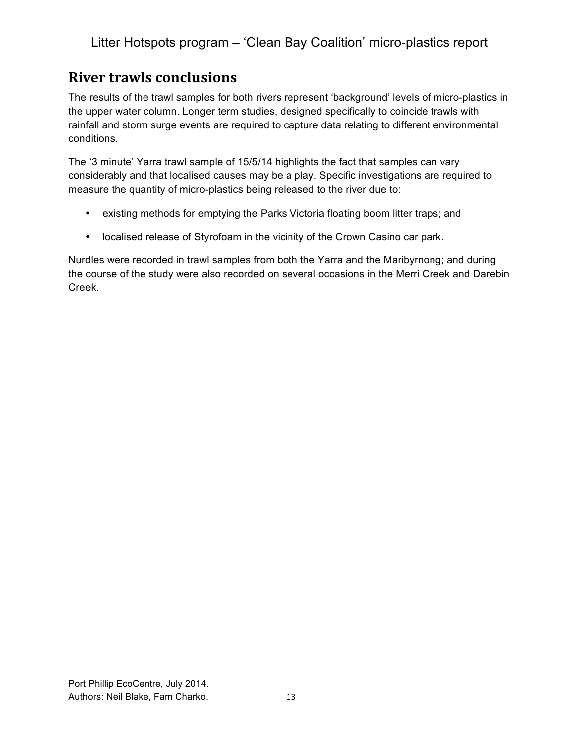## **River trawls conclusions**

The results of the trawl samples for both rivers represent 'background' levels of micro-plastics in the upper water column. Longer term studies, designed specifically to coincide trawls with rainfall and storm surge events are required to capture data relating to different environmental conditions.

The '3 minute' Yarra trawl sample of 15/5/14 highlights the fact that samples can vary considerably and that localised causes may be a play. Specific investigations are required to measure the quantity of micro-plastics being released to the river due to:

- existing methods for emptying the Parks Victoria floating boom litter traps; and
- localised release of Styrofoam in the vicinity of the Crown Casino car park.

Nurdles were recorded in trawl samples from both the Yarra and the Maribyrnong; and during the course of the study were also recorded on several occasions in the Merri Creek and Darebin Creek.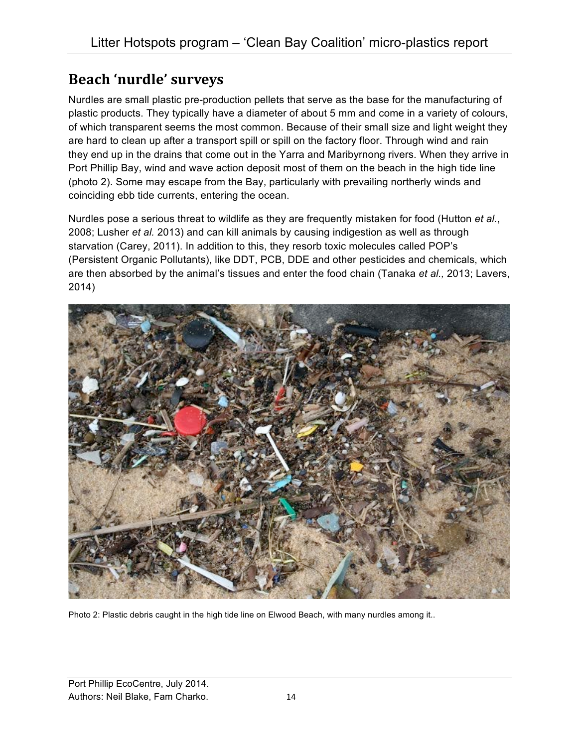## **Beach 'nurdle' surveys**

Nurdles are small plastic pre-production pellets that serve as the base for the manufacturing of plastic products. They typically have a diameter of about 5 mm and come in a variety of colours, of which transparent seems the most common. Because of their small size and light weight they are hard to clean up after a transport spill or spill on the factory floor. Through wind and rain they end up in the drains that come out in the Yarra and Maribyrnong rivers. When they arrive in Port Phillip Bay, wind and wave action deposit most of them on the beach in the high tide line (photo 2). Some may escape from the Bay, particularly with prevailing northerly winds and coinciding ebb tide currents, entering the ocean.

Nurdles pose a serious threat to wildlife as they are frequently mistaken for food (Hutton *et al.*, 2008; Lusher *et al.* 2013) and can kill animals by causing indigestion as well as through starvation (Carey, 2011). In addition to this, they resorb toxic molecules called POP's (Persistent Organic Pollutants), like DDT, PCB, DDE and other pesticides and chemicals, which are then absorbed by the animal's tissues and enter the food chain (Tanaka *et al.,* 2013; Lavers, 2014)



Photo 2: Plastic debris caught in the high tide line on Elwood Beach, with many nurdles among it..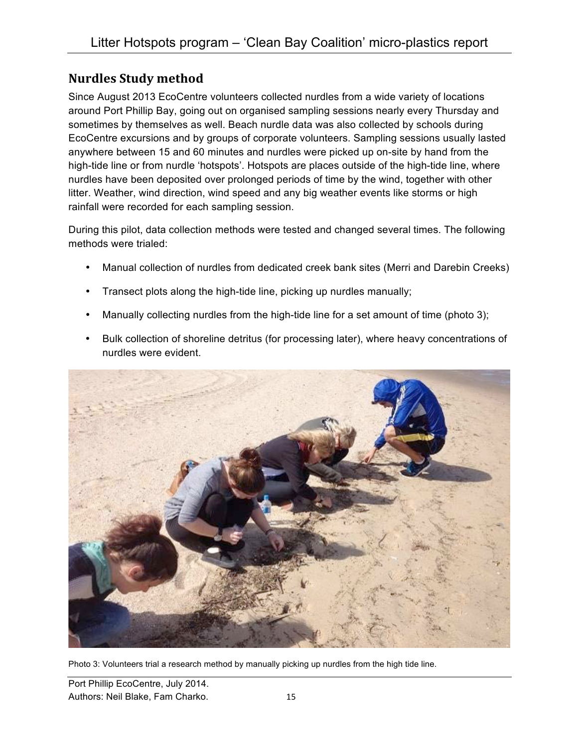#### **Nurdles Study method**

Since August 2013 EcoCentre volunteers collected nurdles from a wide variety of locations around Port Phillip Bay, going out on organised sampling sessions nearly every Thursday and sometimes by themselves as well. Beach nurdle data was also collected by schools during EcoCentre excursions and by groups of corporate volunteers. Sampling sessions usually lasted anywhere between 15 and 60 minutes and nurdles were picked up on-site by hand from the high-tide line or from nurdle 'hotspots'. Hotspots are places outside of the high-tide line, where nurdles have been deposited over prolonged periods of time by the wind, together with other litter. Weather, wind direction, wind speed and any big weather events like storms or high rainfall were recorded for each sampling session.

During this pilot, data collection methods were tested and changed several times. The following methods were trialed:

- Manual collection of nurdles from dedicated creek bank sites (Merri and Darebin Creeks)
- Transect plots along the high-tide line, picking up nurdles manually;
- Manually collecting nurdles from the high-tide line for a set amount of time (photo 3);
- Bulk collection of shoreline detritus (for processing later), where heavy concentrations of nurdles were evident.



Photo 3: Volunteers trial a research method by manually picking up nurdles from the high tide line.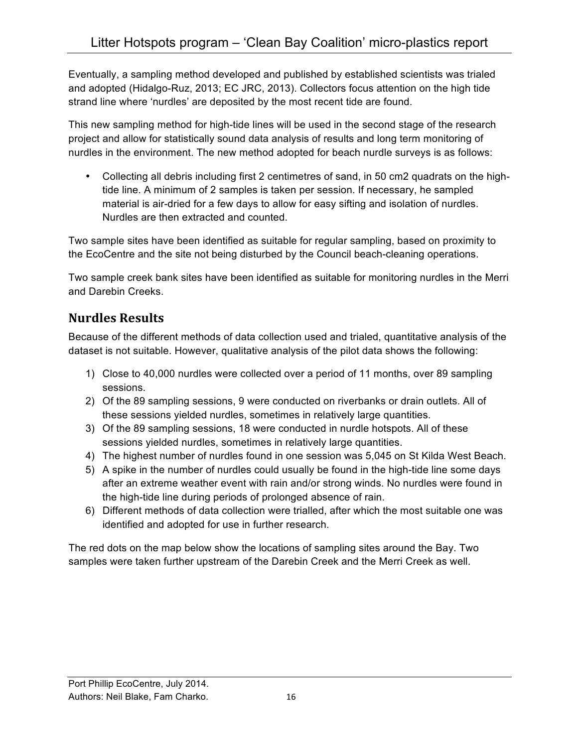Eventually, a sampling method developed and published by established scientists was trialed and adopted (Hidalgo-Ruz, 2013; EC JRC, 2013). Collectors focus attention on the high tide strand line where 'nurdles' are deposited by the most recent tide are found.

This new sampling method for high-tide lines will be used in the second stage of the research project and allow for statistically sound data analysis of results and long term monitoring of nurdles in the environment. The new method adopted for beach nurdle surveys is as follows:

• Collecting all debris including first 2 centimetres of sand, in 50 cm2 quadrats on the hightide line. A minimum of 2 samples is taken per session. If necessary, he sampled material is air-dried for a few days to allow for easy sifting and isolation of nurdles. Nurdles are then extracted and counted.

Two sample sites have been identified as suitable for regular sampling, based on proximity to the EcoCentre and the site not being disturbed by the Council beach-cleaning operations.

Two sample creek bank sites have been identified as suitable for monitoring nurdles in the Merri and Darebin Creeks.

## **Nurdles Results**

Because of the different methods of data collection used and trialed, quantitative analysis of the dataset is not suitable. However, qualitative analysis of the pilot data shows the following:

- 1) Close to 40,000 nurdles were collected over a period of 11 months, over 89 sampling sessions.
- 2) Of the 89 sampling sessions, 9 were conducted on riverbanks or drain outlets. All of these sessions yielded nurdles, sometimes in relatively large quantities.
- 3) Of the 89 sampling sessions, 18 were conducted in nurdle hotspots. All of these sessions yielded nurdles, sometimes in relatively large quantities.
- 4) The highest number of nurdles found in one session was 5,045 on St Kilda West Beach.
- 5) A spike in the number of nurdles could usually be found in the high-tide line some days after an extreme weather event with rain and/or strong winds. No nurdles were found in the high-tide line during periods of prolonged absence of rain.
- 6) Different methods of data collection were trialled, after which the most suitable one was identified and adopted for use in further research.

The red dots on the map below show the locations of sampling sites around the Bay. Two samples were taken further upstream of the Darebin Creek and the Merri Creek as well.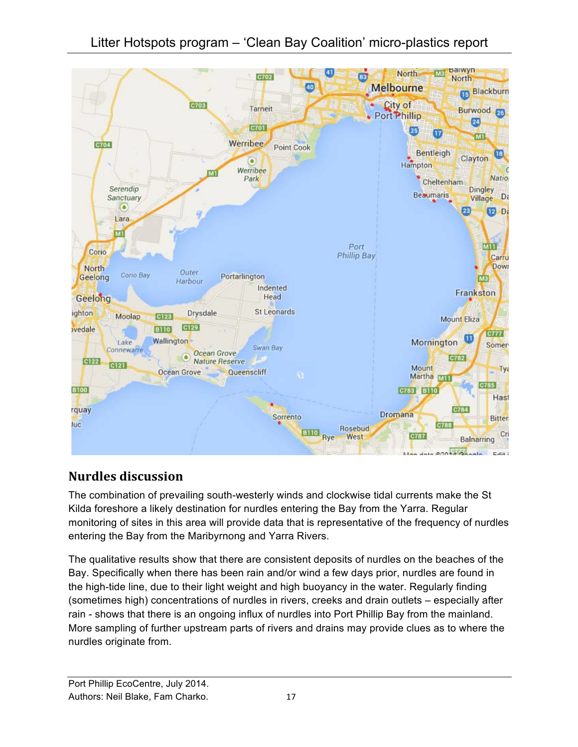

## **Nurdles discussion**

The combination of prevailing south-westerly winds and clockwise tidal currents make the St Kilda foreshore a likely destination for nurdles entering the Bay from the Yarra. Regular monitoring of sites in this area will provide data that is representative of the frequency of nurdles entering the Bay from the Maribyrnong and Yarra Rivers.

The qualitative results show that there are consistent deposits of nurdles on the beaches of the Bay. Specifically when there has been rain and/or wind a few days prior, nurdles are found in the high-tide line, due to their light weight and high buoyancy in the water. Regularly finding (sometimes high) concentrations of nurdles in rivers, creeks and drain outlets – especially after rain - shows that there is an ongoing influx of nurdles into Port Phillip Bay from the mainland. More sampling of further upstream parts of rivers and drains may provide clues as to where the nurdles originate from.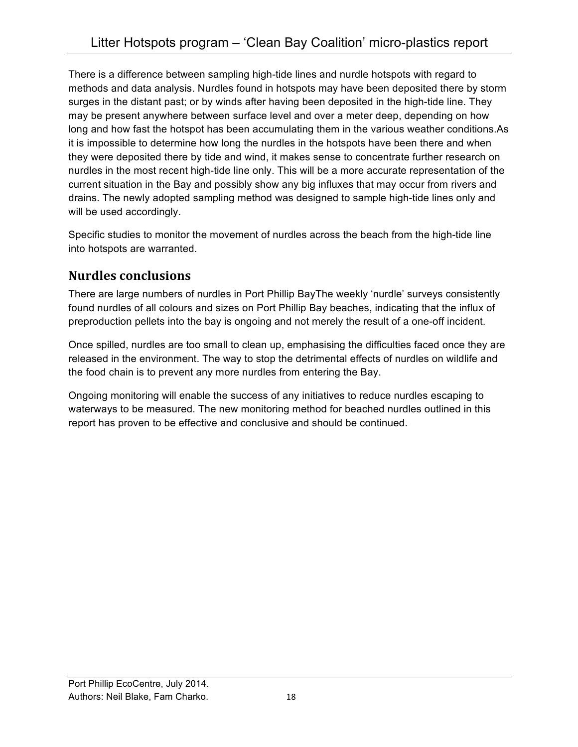There is a difference between sampling high-tide lines and nurdle hotspots with regard to methods and data analysis. Nurdles found in hotspots may have been deposited there by storm surges in the distant past; or by winds after having been deposited in the high-tide line. They may be present anywhere between surface level and over a meter deep, depending on how long and how fast the hotspot has been accumulating them in the various weather conditions.As it is impossible to determine how long the nurdles in the hotspots have been there and when they were deposited there by tide and wind, it makes sense to concentrate further research on nurdles in the most recent high-tide line only. This will be a more accurate representation of the current situation in the Bay and possibly show any big influxes that may occur from rivers and drains. The newly adopted sampling method was designed to sample high-tide lines only and will be used accordingly.

Specific studies to monitor the movement of nurdles across the beach from the high-tide line into hotspots are warranted.

## **Nurdles conclusions**

There are large numbers of nurdles in Port Phillip BayThe weekly 'nurdle' surveys consistently found nurdles of all colours and sizes on Port Phillip Bay beaches, indicating that the influx of preproduction pellets into the bay is ongoing and not merely the result of a one-off incident.

Once spilled, nurdles are too small to clean up, emphasising the difficulties faced once they are released in the environment. The way to stop the detrimental effects of nurdles on wildlife and the food chain is to prevent any more nurdles from entering the Bay.

Ongoing monitoring will enable the success of any initiatives to reduce nurdles escaping to waterways to be measured. The new monitoring method for beached nurdles outlined in this report has proven to be effective and conclusive and should be continued.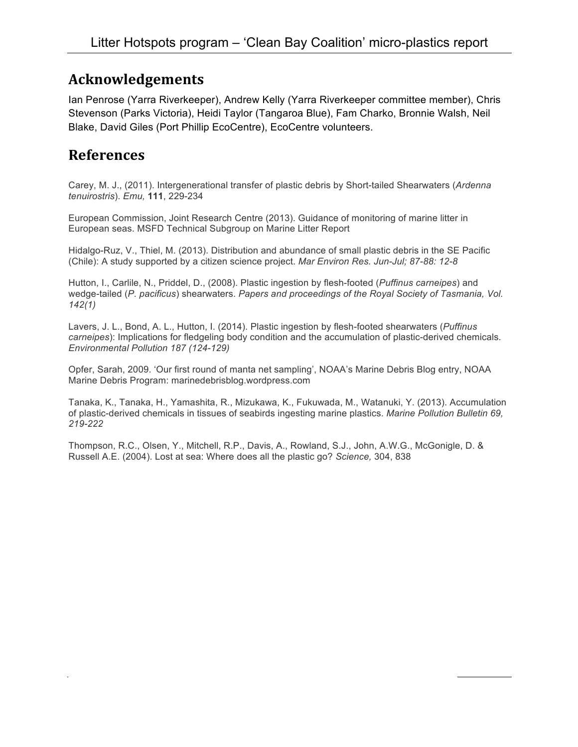## **Acknowledgements**

Ian Penrose (Yarra Riverkeeper), Andrew Kelly (Yarra Riverkeeper committee member), Chris Stevenson (Parks Victoria), Heidi Taylor (Tangaroa Blue), Fam Charko, Bronnie Walsh, Neil Blake, David Giles (Port Phillip EcoCentre), EcoCentre volunteers.

## **References**

Carey, M. J., (2011). Intergenerational transfer of plastic debris by Short-tailed Shearwaters (*Ardenna tenuirostris*). *Emu,* **111**, 229-234

European Commission, Joint Research Centre (2013). Guidance of monitoring of marine litter in European seas. MSFD Technical Subgroup on Marine Litter Report

Hidalgo-Ruz, V., Thiel, M. (2013). Distribution and abundance of small plastic debris in the SE Pacific (Chile): A study supported by a citizen science project. *Mar Environ Res. Jun-Jul; 87-88: 12-8*

Hutton, I., Carlile, N., Priddel, D., (2008). Plastic ingestion by flesh-footed (*Puffinus carneipes*) and wedge-tailed (*P. pacificus*) shearwaters. *Papers and proceedings of the Royal Society of Tasmania, Vol. 142(1)*

Lavers, J. L., Bond, A. L., Hutton, I. (2014). Plastic ingestion by flesh-footed shearwaters (*Puffinus carneipes*): Implications for fledgeling body condition and the accumulation of plastic-derived chemicals. *Environmental Pollution 187 (124-129)*

Opfer, Sarah, 2009. 'Our first round of manta net sampling', NOAA's Marine Debris Blog entry, NOAA Marine Debris Program: marinedebrisblog.wordpress.com

Tanaka, K., Tanaka, H., Yamashita, R., Mizukawa, K., Fukuwada, M., Watanuki, Y. (2013). Accumulation of plastic-derived chemicals in tissues of seabirds ingesting marine plastics. *Marine Pollution Bulletin 69, 219-222*

Thompson, R.C., Olsen, Y., Mitchell, R.P., Davis, A., Rowland, S.J., John, A.W.G., McGonigle, D. & Russell A.E. (2004). Lost at sea: Where does all the plastic go? *Science,* 304, 838